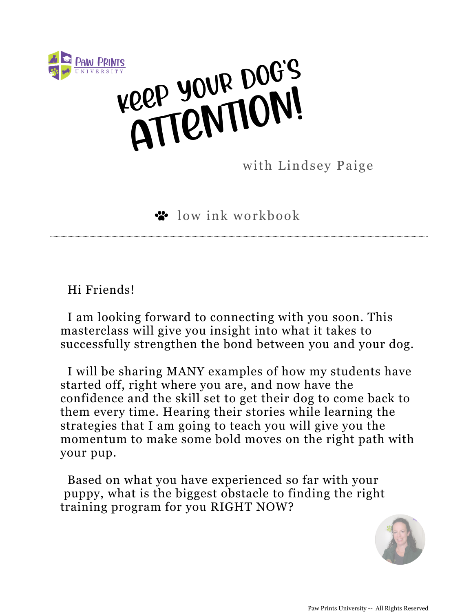

KEEP YOUR DOG'S REP YOUR ON!

with Lindsey Paige

low ink workbook

Hi Friends!

I am looking forward to connecting with you soon. This masterclass will give you insight into what it takes to successfully strengthen the bond between you and your dog.

I will be sharing MANY examples of how my students have started off, right where you are, and now have the confidence and the skill set to get their dog to come back to them every time. Hearing their stories while learning the strategies that I am going to teach you will give you the momentum to make some bold moves on the right path with your pup.

Based on what you have experienced so far with your puppy, what is the biggest obstacle to finding the right training program for you RIGHT NOW?

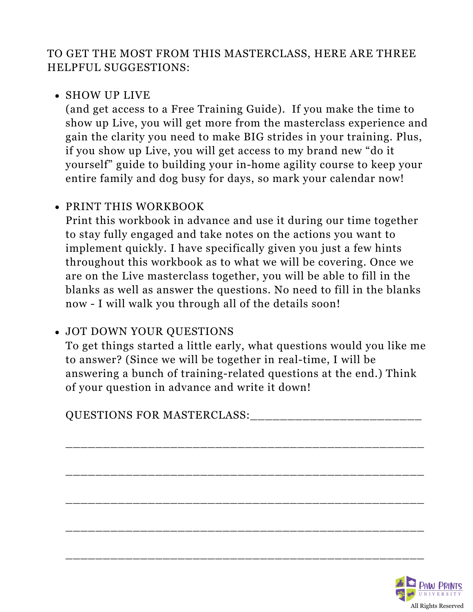TO GET THE MOST FROM THIS MASTERCLASS, HERE ARE THREE HELPFUL SUGGESTIONS:

#### • SHOW UP LIVE

(and get access to a Free Training Guide). If you make the time to show up Live, you will get more from the masterclass experience and gain the clarity you need to make BIG strides in your training. Plus, if you show up Live, you will get access to my brand new "do it yourself" guide to building your in-home agility course to keep your entire family and dog busy for days, so mark your calendar now!

#### PRINT THIS WORKBOOK

Print this workbook in advance and use it during our time together to stay fully engaged and take notes on the actions you want to implement quickly. I have specifically given you just a few hints throughout this workbook as to what we will be covering. Once we are on the Live masterclass together, you will be able to fill in the blanks as well as answer the questions. No need to fill in the blanks now - I will walk you through all of the details soon!

#### JOT DOWN YOUR QUESTIONS

To get things started a little early, what questions would you like me to answer? (Since we will be together in real-time, I will be answering a bunch of training-related questions at the end.) Think of your question in advance and write it down!

\_\_\_\_\_\_\_\_\_\_\_\_\_\_\_\_\_\_\_\_\_\_\_\_\_\_\_\_\_\_\_\_\_\_\_\_\_\_\_\_\_\_\_\_\_\_\_\_

\_\_\_\_\_\_\_\_\_\_\_\_\_\_\_\_\_\_\_\_\_\_\_\_\_\_\_\_\_\_\_\_\_\_\_\_\_\_\_\_\_\_\_\_\_\_\_\_

\_\_\_\_\_\_\_\_\_\_\_\_\_\_\_\_\_\_\_\_\_\_\_\_\_\_\_\_\_\_\_\_\_\_\_\_\_\_\_\_\_\_\_\_\_\_\_\_

\_\_\_\_\_\_\_\_\_\_\_\_\_\_\_\_\_\_\_\_\_\_\_\_\_\_\_\_\_\_\_\_\_\_\_\_\_\_\_\_\_\_\_\_\_\_\_\_

\_\_\_\_\_\_\_\_\_\_\_\_\_\_\_\_\_\_\_\_\_\_\_\_\_\_\_\_\_\_\_\_\_\_\_\_\_\_\_\_\_\_\_\_\_\_\_\_

QUESTIONS FOR MASTERCLASS:

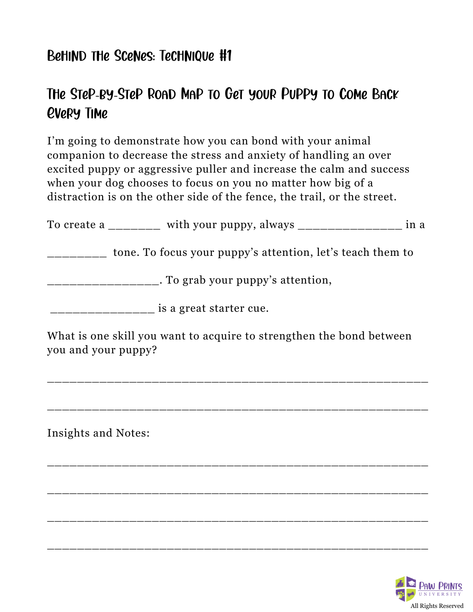### Behind the Scenes: Technique #1

# The Step-by-Step Road Map to Get your Puppy to Come Back Every Time

I'm going to demonstrate how you can bond with your animal companion to decrease the stress and anxiety of handling an over excited puppy or aggressive puller and increase the calm and success when your dog chooses to focus on you no matter how big of a distraction is on the other side of the fence, the trail, or the street.

|                     | To create a _______ with your puppy, always _______________ in a     |  |
|---------------------|----------------------------------------------------------------------|--|
|                     | tone. To focus your puppy's attention, let's teach them to           |  |
|                     | ____________________. To grab your puppy's attention,                |  |
|                     | ____________ is a great starter cue.                                 |  |
| you and your puppy? | What is one skill you want to acquire to strengthen the bond between |  |
|                     |                                                                      |  |
| Insights and Notes: |                                                                      |  |
|                     |                                                                      |  |
|                     |                                                                      |  |

\_\_\_\_\_\_\_\_\_\_\_\_\_\_\_\_\_\_\_\_\_\_\_\_\_\_\_\_\_\_\_\_\_\_\_\_\_\_\_\_\_\_\_\_\_\_\_\_\_\_\_

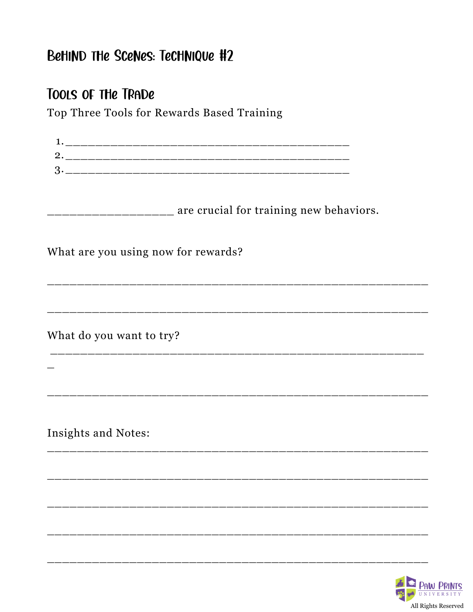# BeHIND THe Scenes: Technique #2

### TOOLS OF THE TRADE

Top Three Tools for Rewards Based Training

| ____________________ are crucial for training new behaviors. |
|--------------------------------------------------------------|
|                                                              |
|                                                              |
| What are you using now for rewards?                          |
|                                                              |
|                                                              |
|                                                              |
|                                                              |
|                                                              |
| What do you want to try?                                     |
|                                                              |
|                                                              |
|                                                              |
|                                                              |
|                                                              |
|                                                              |
| Insights and Notes:                                          |
|                                                              |
|                                                              |
|                                                              |
|                                                              |
|                                                              |
|                                                              |
|                                                              |
|                                                              |
|                                                              |